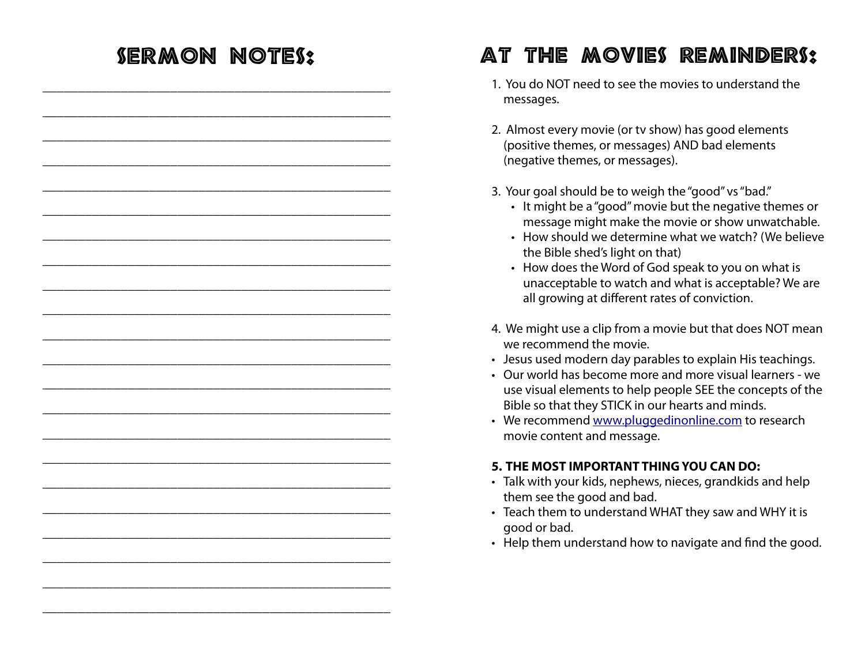#### Sermon Notes: \_\_\_\_\_\_\_\_\_\_\_\_\_\_\_\_\_\_\_\_\_\_\_\_\_\_\_\_\_\_\_\_\_\_\_\_\_\_\_\_\_\_\_\_\_\_\_\_\_ \_\_\_\_\_\_\_\_\_\_\_\_\_\_\_\_\_\_\_\_\_\_\_\_\_\_\_\_\_\_\_\_\_\_\_\_\_\_\_\_\_\_\_\_\_\_\_\_\_ \_\_\_\_\_\_\_\_\_\_\_\_\_\_\_\_\_\_\_\_\_\_\_\_\_\_\_\_\_\_\_\_\_\_\_\_\_\_\_\_\_\_\_\_\_\_\_\_\_ \_\_\_\_\_\_\_\_\_\_\_\_\_\_\_\_\_\_\_\_\_\_\_\_\_\_\_\_\_\_\_\_\_\_\_\_\_\_\_\_\_\_\_\_\_\_\_\_\_ \_\_\_\_\_\_\_\_\_\_\_\_\_\_\_\_\_\_\_\_\_\_\_\_\_\_\_\_\_\_\_\_\_\_\_\_\_\_\_\_\_\_\_\_\_\_\_\_\_ \_\_\_\_\_\_\_\_\_\_\_\_\_\_\_\_\_\_\_\_\_\_\_\_\_\_\_\_\_\_\_\_\_\_\_\_\_\_\_\_\_\_\_\_\_\_\_\_\_ \_\_\_\_\_\_\_\_\_\_\_\_\_\_\_\_\_\_\_\_\_\_\_\_\_\_\_\_\_\_\_\_\_\_\_\_\_\_\_\_\_\_\_\_\_\_\_\_\_ \_\_\_\_\_\_\_\_\_\_\_\_\_\_\_\_\_\_\_\_\_\_\_\_\_\_\_\_\_\_\_\_\_\_\_\_\_\_\_\_\_\_\_\_\_\_\_\_\_ \_\_\_\_\_\_\_\_\_\_\_\_\_\_\_\_\_\_\_\_\_\_\_\_\_\_\_\_\_\_\_\_\_\_\_\_\_\_\_\_\_\_\_\_\_\_\_\_\_ \_\_\_\_\_\_\_\_\_\_\_\_\_\_\_\_\_\_\_\_\_\_\_\_\_\_\_\_\_\_\_\_\_\_\_\_\_\_\_\_\_\_\_\_\_\_\_\_\_ \_\_\_\_\_\_\_\_\_\_\_\_\_\_\_\_\_\_\_\_\_\_\_\_\_\_\_\_\_\_\_\_\_\_\_\_\_\_\_\_\_\_\_\_\_\_\_\_\_ \_\_\_\_\_\_\_\_\_\_\_\_\_\_\_\_\_\_\_\_\_\_\_\_\_\_\_\_\_\_\_\_\_\_\_\_\_\_\_\_\_\_\_\_\_\_\_\_\_ \_\_\_\_\_\_\_\_\_\_\_\_\_\_\_\_\_\_\_\_\_\_\_\_\_\_\_\_\_\_\_\_\_\_\_\_\_\_\_\_\_\_\_\_\_\_\_\_\_ \_\_\_\_\_\_\_\_\_\_\_\_\_\_\_\_\_\_\_\_\_\_\_\_\_\_\_\_\_\_\_\_\_\_\_\_\_\_\_\_\_\_\_\_\_\_\_\_\_ \_\_\_\_\_\_\_\_\_\_\_\_\_\_\_\_\_\_\_\_\_\_\_\_\_\_\_\_\_\_\_\_\_\_\_\_\_\_\_\_\_\_\_\_\_\_\_\_\_ \_\_\_\_\_\_\_\_\_\_\_\_\_\_\_\_\_\_\_\_\_\_\_\_\_\_\_\_\_\_\_\_\_\_\_\_\_\_\_\_\_\_\_\_\_\_\_\_\_ \_\_\_\_\_\_\_\_\_\_\_\_\_\_\_\_\_\_\_\_\_\_\_\_\_\_\_\_\_\_\_\_\_\_\_\_\_\_\_\_\_\_\_\_\_\_\_\_\_ \_\_\_\_\_\_\_\_\_\_\_\_\_\_\_\_\_\_\_\_\_\_\_\_\_\_\_\_\_\_\_\_\_\_\_\_\_\_\_\_\_\_\_\_\_\_\_\_\_ \_\_\_\_\_\_\_\_\_\_\_\_\_\_\_\_\_\_\_\_\_\_\_\_\_\_\_\_\_\_\_\_\_\_\_\_\_\_\_\_\_\_\_\_\_\_\_\_\_ \_\_\_\_\_\_\_\_\_\_\_\_\_\_\_\_\_\_\_\_\_\_\_\_\_\_\_\_\_\_\_\_\_\_\_\_\_\_\_\_\_\_\_\_\_\_\_\_\_ \_\_\_\_\_\_\_\_\_\_\_\_\_\_\_\_\_\_\_\_\_\_\_\_\_\_\_\_\_\_\_\_\_\_\_\_\_\_\_\_\_\_\_\_\_\_\_\_\_ \_\_\_\_\_\_\_\_\_\_\_\_\_\_\_\_\_\_\_\_\_\_\_\_\_\_\_\_\_\_\_\_\_\_\_\_\_\_\_\_\_\_\_\_\_\_\_\_\_ At The Movies Reminders: 1. You do NOT need to see the movies to understand the messages. 2. Almost every movie (or tv show) has good elements (positive themes, or messages) AND bad elements (negative themes, or messages). 3. Your goal should be to weigh the "good" vs "bad." • It might be a "good" movie but the negative themes or message might make the movie or show unwatchable. • How should we determine what we watch? (We believe the Bible shed's light on that) • How does the Word of God speak to you on what is unacceptable to watch and what is acceptable? We are all growing at different rates of conviction. 4. We might use a clip from a movie but that does NOT mean we recommend the movie. • Jesus used modern day parables to explain His teachings. • Our world has become more and more visual learners - we use visual elements to help people SEE the concepts of the Bible so that they STICK in our hearts and minds. • We recommend [www.pluggedinonline.com](http://www.pluggedinonline.com) to research movie content and message. **5. THE MOST IMPORTANT THING YOU CAN DO:**  • Talk with your kids, nephews, nieces, grandkids and help them see the good and bad. • Teach them to understand WHAT they saw and WHY it is good or bad. • Help them understand how to navigate and fnd the good.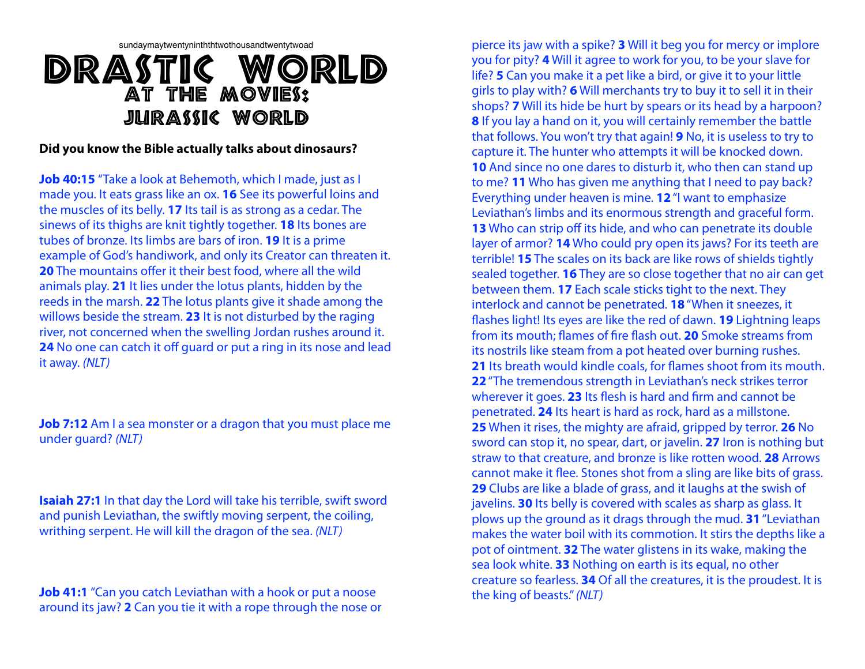# sundaymaytwentyninththtwothousandtwentytwoad DRASTIC WORLD At The Movies: Jurassic World

#### **Did you know the Bible actually talks about dinosaurs?**

**Job 40:15** "Take a look at Behemoth, which I made, just as I made you. It eats grass like an ox. **16** See its powerful loins and the muscles of its belly. **17** Its tail is as strong as a cedar. The sinews of its thighs are knit tightly together. **18** Its bones are tubes of bronze. Its limbs are bars of iron. **19** It is a prime example of God's handiwork, and only its Creator can threaten it. **20** The mountains offer it their best food, where all the wild animals play. **21** It lies under the lotus plants, hidden by the reeds in the marsh. **22** The lotus plants give it shade among the willows beside the stream. **23** It is not disturbed by the raging river, not concerned when the swelling Jordan rushes around it. **24** No one can catch it off guard or put a ring in its nose and lead it away. *(NLT)*

**Job 7:12** Am I a sea monster or a dragon that you must place me under guard? *(NLT)*

**Isaiah 27:1** In that day the Lord will take his terrible, swift sword and punish Leviathan, the swiftly moving serpent, the coiling, writhing serpent. He will kill the dragon of the sea. *(NLT)*

**Job 41:1** "Can you catch Leviathan with a hook or put a noose around its jaw? **2** Can you tie it with a rope through the nose or

pierce its jaw with a spike? **3** Will it beg you for mercy or implore you for pity? **4** Will it agree to work for you, to be your slave for life? **5** Can you make it a pet like a bird, or give it to your little girls to play with? **6** Will merchants try to buy it to sell it in their shops? **7** Will its hide be hurt by spears or its head by a harpoon? **8** If you lay a hand on it, you will certainly remember the battle that follows. You won't try that again! **9** No, it is useless to try to capture it. The hunter who attempts it will be knocked down. **10** And since no one dares to disturb it, who then can stand up to me? **11** Who has given me anything that I need to pay back? Everything under heaven is mine. **12**"I want to emphasize Leviathan's limbs and its enormous strength and graceful form. **13** Who can strip off its hide, and who can penetrate its double layer of armor? **14** Who could pry open its jaws? For its teeth are terrible! **15** The scales on its back are like rows of shields tightly sealed together. **16** They are so close together that no air can get between them. **17** Each scale sticks tight to the next. They interlock and cannot be penetrated. **18**"When it sneezes, it fashes light! Its eyes are like the red of dawn. **19** Lightning leaps from its mouth; fames of fre fash out. **20** Smoke streams from its nostrils like steam from a pot heated over burning rushes. **21** Its breath would kindle coals, for fames shoot from its mouth. **22**"The tremendous strength in Leviathan's neck strikes terror wherever it goes. 23 Its flesh is hard and firm and cannot be penetrated. **24** Its heart is hard as rock, hard as a millstone. **25** When it rises, the mighty are afraid, gripped by terror. **26** No sword can stop it, no spear, dart, or javelin. **27** Iron is nothing but straw to that creature, and bronze is like rotten wood. **28** Arrows cannot make it fee. Stones shot from a sling are like bits of grass. **29** Clubs are like a blade of grass, and it laughs at the swish of javelins. **30** Its belly is covered with scales as sharp as glass. It plows up the ground as it drags through the mud. **31**"Leviathan makes the water boil with its commotion. It stirs the depths like a pot of ointment. **32** The water glistens in its wake, making the sea look white. **33** Nothing on earth is its equal, no other creature so fearless. **34** Of all the creatures, it is the proudest. It is the king of beasts."*(NLT)*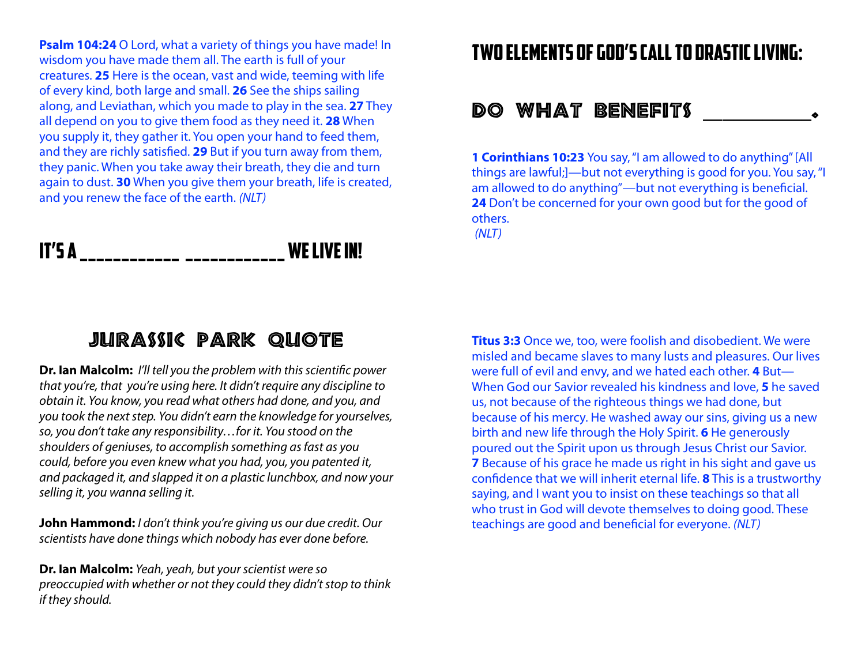**Psalm 104:24** O Lord, what a variety of things you have made! In wisdom you have made them all. The earth is full of your creatures. **25** Here is the ocean, vast and wide, teeming with life of every kind, both large and small. **26** See the ships sailing along, and Leviathan, which you made to play in the sea. **27** They all depend on you to give them food as they need it. **28** When you supply it, they gather it. You open your hand to feed them, and they are richly satisfed. **29** But if you turn away from them, they panic. When you take away their breath, they die and turn again to dust. **30** When you give them your breath, life is created, and you renew the face of the earth. *(NLT)*

# IT'S A \_\_\_\_\_\_\_\_\_\_\_\_\_ \_\_\_\_\_\_\_\_\_\_\_\_\_ WE LIVE IN!

### Jurassic Park Quote

**Dr. Ian Malcolm:** *I'll tell you the problem with this scienti*f*c power that you're, that you're using here. It didn't require any discipline to obtain it. You know, you read what others had done, and you, and you took the next step. You didn't earn the knowledge for yourselves, so, you don't take any responsibility…for it. You stood on the shoulders of geniuses, to accomplish something as fast as you could, before you even knew what you had, you, you patented it, and packaged it, and slapped it on a plastic lunchbox, and now your selling it, you wanna selling it.*

**John Hammond:** *I don't think you're giving us our due credit. Our scientists have done things which nobody has ever done before.* 

**Dr. Ian Malcolm:** *Yeah, yeah, but your scientist were so preoccupied with whether or not they could they didn't stop to think if they should.*

## Two elements of God's Call To drastic living:

#### Do What Benefits \_\_\_\_\_\_\_\_\_\_\_.

**1 Corinthians 10:23** You say, "I am allowed to do anything" [All things are lawful;]—but not everything is good for you. You say, "I am allowed to do anything"—but not everything is benefcial. **24** Don't be concerned for your own good but for the good of others. *(NLT)*

**Titus 3:3** Once we, too, were foolish and disobedient. We were misled and became slaves to many lusts and pleasures. Our lives were full of evil and envy, and we hated each other. **4** But— When God our Savior revealed his kindness and love, **5** he saved us, not because of the righteous things we had done, but because of his mercy. He washed away our sins, giving us a new birth and new life through the Holy Spirit. **6** He generously poured out the Spirit upon us through Jesus Christ our Savior. **7** Because of his grace he made us right in his sight and gave us confdence that we will inherit eternal life. **8** This is a trustworthy saying, and I want you to insist on these teachings so that all who trust in God will devote themselves to doing good. These teachings are good and benefcial for everyone. *(NLT)*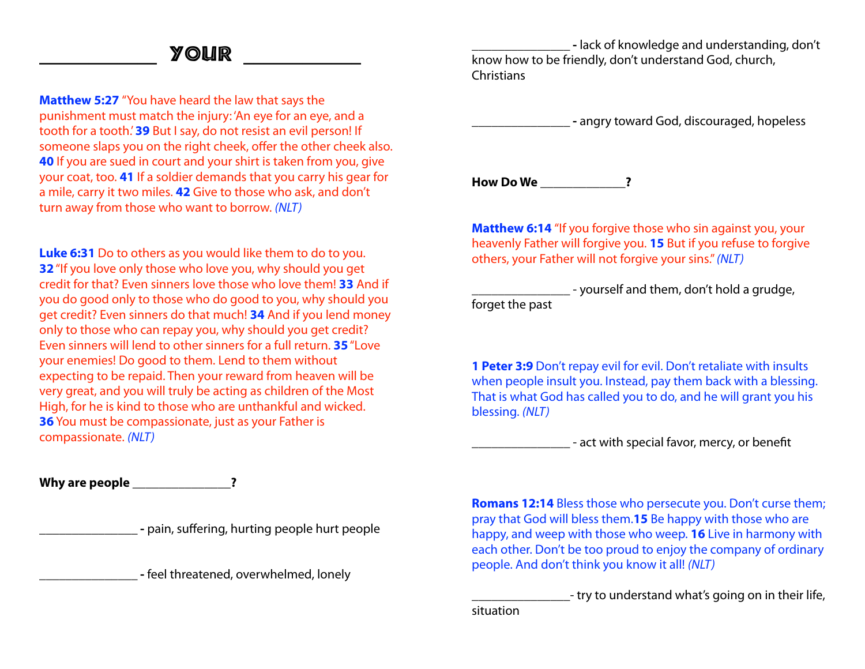#### \_\_\_\_\_\_\_\_\_\_\_\_ Your \_\_\_\_\_\_\_\_\_\_\_\_

**Matthew 5:27** "You have heard the law that says the punishment must match the injury: 'An eye for an eye, and a tooth for a tooth.' **39** But I say, do not resist an evil person! If someone slaps you on the right cheek, offer the other cheek also. **40** If you are sued in court and your shirt is taken from you, give your coat, too. **41** If a soldier demands that you carry his gear for a mile, carry it two miles. **42** Give to those who ask, and don't turn away from those who want to borrow. *(NLT)*

**Luke 6:31** Do to others as you would like them to do to you. **32**"If you love only those who love you, why should you get credit for that? Even sinners love those who love them! **33** And if you do good only to those who do good to you, why should you get credit? Even sinners do that much! **34** And if you lend money only to those who can repay you, why should you get credit? Even sinners will lend to other sinners for a full return. **35**"Love your enemies! Do good to them. Lend to them without expecting to be repaid. Then your reward from heaven will be very great, and you will truly be acting as children of the Most High, for he is kind to those who are unthankful and wicked. **36** You must be compassionate, just as your Father is compassionate. *(NLT)*

**Why are people \_\_\_\_\_\_\_\_\_\_\_\_\_\_\_?** 

**\_\_\_\_\_\_\_\_\_\_\_\_\_\_\_ -** pain, suffering, hurting people hurt people

**\_\_\_\_\_\_\_\_\_\_\_\_\_\_\_ -** feel threatened, overwhelmed, lonely

**\_\_\_\_\_\_\_\_\_\_\_\_\_\_\_ -** lack of knowledge and understanding, don't know how to be friendly, don't understand God, church, **Christians** 

**\_\_\_\_\_\_\_\_\_\_\_\_\_\_\_ -** angry toward God, discouraged, hopeless

**How Do We \_\_\_\_\_\_\_\_\_\_\_\_\_?** 

**Matthew 6:14** "If you forgive those who sin against you, your heavenly Father will forgive you. **15** But if you refuse to forgive others, your Father will not forgive your sins." *(NLT)*

\_\_\_\_\_\_\_\_\_\_\_\_\_\_\_ - yourself and them, don't hold a grudge, forget the past

**1 Peter 3:9** Don't repay evil for evil. Don't retaliate with insults when people insult you. Instead, pay them back with a blessing. That is what God has called you to do, and he will grant you his blessing. *(NLT)*

\_\_\_\_\_\_\_\_\_\_\_\_\_\_\_ - act with special favor, mercy, or beneft

**Romans 12:14** Bless those who persecute you. Don't curse them; pray that God will bless them.**15** Be happy with those who are happy, and weep with those who weep. **16** Live in harmony with each other. Don't be too proud to enjoy the company of ordinary people. And don't think you know it all! *(NLT)*

\_\_\_\_\_\_\_\_\_\_\_\_\_\_\_- try to understand what's going on in their life, situation